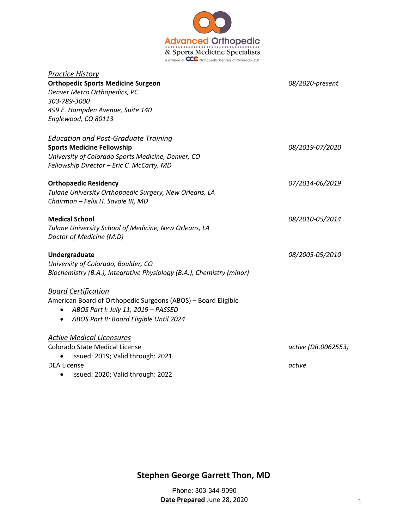

| <b>Practice History</b>                                               |                     |
|-----------------------------------------------------------------------|---------------------|
| <b>Orthopedic Sports Medicine Surgeon</b>                             | 08/2020-present     |
| Denver Metro Orthopedics, PC                                          |                     |
| 303-789-3000                                                          |                     |
| 499 E. Hampden Avenue, Suite 140                                      |                     |
| Englewood, CO 80113                                                   |                     |
| <b>Education and Post-Graduate Training</b>                           |                     |
| <b>Sports Medicine Fellowship</b>                                     | 08/2019-07/2020     |
| University of Colorado Sports Medicine, Denver, CO                    |                     |
| Fellowship Director - Eric C. McCarty, MD                             |                     |
| <b>Orthopaedic Residency</b>                                          | 07/2014-06/2019     |
| Tulane University Orthopaedic Surgery, New Orleans, LA                |                     |
| Chairman - Felix H. Savoie III, MD                                    |                     |
| <b>Medical School</b>                                                 | 08/2010-05/2014     |
| Tulane University School of Medicine, New Orleans, LA                 |                     |
| Doctor of Medicine (M.D)                                              |                     |
| Undergraduate                                                         | 08/2005-05/2010     |
| University of Colorado, Boulder, CO                                   |                     |
| Biochemistry (B.A.), Integrative Physiology (B.A.), Chemistry (minor) |                     |
| <b>Board Certification</b>                                            |                     |
| American Board of Orthopedic Surgeons (ABOS) - Board Eligible         |                     |
| ABOS Part I: July 11, 2019 - PASSED                                   |                     |
| ABOS Part II: Board Eligible Until 2024                               |                     |
| <b>Active Medical Licensures</b>                                      |                     |
| <b>Colorado State Medical License</b>                                 | active (DR.0062553) |
| Issued: 2019; Valid through: 2021                                     |                     |
| <b>DEA License</b>                                                    | active              |
| Issued: 2020; Valid through: 2022                                     |                     |

**Stephen George Garrett Thon, MD** 

Phone: 303-344-9090 **Date Prepared** June 28, 2020 1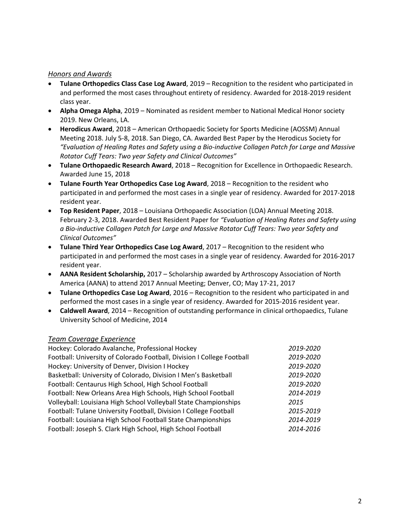#### *Honors and Awards*

- **Tulane Orthopedics Class Case Log Award**, 2019 Recognition to the resident who participated in and performed the most cases throughout entirety of residency. Awarded for 2018-2019 resident class year.
- **Alpha Omega Alpha**, 2019 Nominated as resident member to National Medical Honor society 2019. New Orleans, LA.
- **Herodicus Award**, 2018 American Orthopaedic Society for Sports Medicine (AOSSM) Annual Meeting 2018. July 5-8, 2018. San Diego, CA. Awarded Best Paper by the Herodicus Society for *"Evaluation of Healing Rates and Safety using a Bio-inductive Collagen Patch for Large and Massive Rotator Cuff Tears: Two year Safety and Clinical Outcomes"*
- **Tulane Orthopaedic Research Award**, 2018 Recognition for Excellence in Orthopaedic Research. Awarded June 15, 2018
- **Tulane Fourth Year Orthopedics Case Log Award**, 2018 Recognition to the resident who participated in and performed the most cases in a single year of residency. Awarded for 2017-2018 resident year.
- **Top Resident Paper**, 2018 Louisiana Orthopaedic Association (LOA) Annual Meeting 2018. February 2-3, 2018. Awarded Best Resident Paper for *"Evaluation of Healing Rates and Safety using a Bio-inductive Collagen Patch for Large and Massive Rotator Cuff Tears: Two year Safety and Clinical Outcomes"*
- **Tulane Third Year Orthopedics Case Log Award**, 2017 Recognition to the resident who participated in and performed the most cases in a single year of residency. Awarded for 2016-2017 resident year.
- **AANA Resident Scholarship,** 2017 Scholarship awarded by Arthroscopy Association of North America (AANA) to attend 2017 Annual Meeting; Denver, CO; May 17-21, 2017
- **Tulane Orthopedics Case Log Award**, 2016 Recognition to the resident who participated in and performed the most cases in a single year of residency. Awarded for 2015-2016 resident year.
- **Caldwell Award**, 2014 Recognition of outstanding performance in clinical orthopaedics, Tulane University School of Medicine, 2014

# *Team Coverage Experience*

| Football: University of Colorado Football, Division I College Football<br>Hockey: University of Denver, Division I Hockey<br>Basketball: University of Colorado, Division I Men's Basketball<br>Football: Centaurus High School, High School Football<br>Football: New Orleans Area High Schools, High School Football<br>Volleyball: Louisiana High School Volleyball State Championships<br>2015<br>Football: Tulane University Football, Division I College Football<br>Football: Louisiana High School Football State Championships<br>Football: Joseph S. Clark High School, High School Football | Hockey: Colorado Avalanche, Professional Hockey | 2019-2020 |
|--------------------------------------------------------------------------------------------------------------------------------------------------------------------------------------------------------------------------------------------------------------------------------------------------------------------------------------------------------------------------------------------------------------------------------------------------------------------------------------------------------------------------------------------------------------------------------------------------------|-------------------------------------------------|-----------|
|                                                                                                                                                                                                                                                                                                                                                                                                                                                                                                                                                                                                        |                                                 | 2019-2020 |
|                                                                                                                                                                                                                                                                                                                                                                                                                                                                                                                                                                                                        |                                                 | 2019-2020 |
|                                                                                                                                                                                                                                                                                                                                                                                                                                                                                                                                                                                                        |                                                 | 2019-2020 |
|                                                                                                                                                                                                                                                                                                                                                                                                                                                                                                                                                                                                        |                                                 | 2019-2020 |
|                                                                                                                                                                                                                                                                                                                                                                                                                                                                                                                                                                                                        |                                                 | 2014-2019 |
|                                                                                                                                                                                                                                                                                                                                                                                                                                                                                                                                                                                                        |                                                 |           |
|                                                                                                                                                                                                                                                                                                                                                                                                                                                                                                                                                                                                        |                                                 | 2015-2019 |
|                                                                                                                                                                                                                                                                                                                                                                                                                                                                                                                                                                                                        |                                                 | 2014-2019 |
|                                                                                                                                                                                                                                                                                                                                                                                                                                                                                                                                                                                                        |                                                 | 2014-2016 |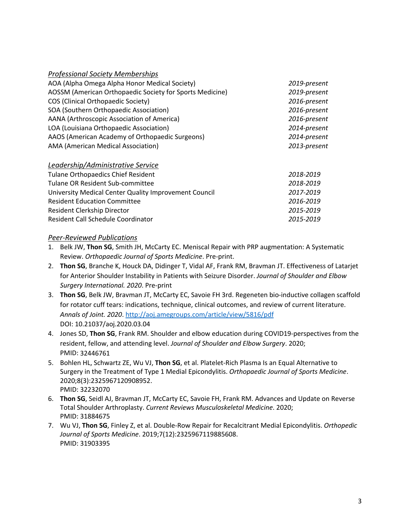| <b>Professional Society Memberships</b> |
|-----------------------------------------|
|-----------------------------------------|

| AOA (Alpha Omega Alpha Honor Medical Society)            | 2019-present |
|----------------------------------------------------------|--------------|
| AOSSM (American Orthopaedic Society for Sports Medicine) | 2019-present |
| COS (Clinical Orthopaedic Society)                       | 2016-present |
| SOA (Southern Orthopaedic Association)                   | 2016-present |
| AANA (Arthroscopic Association of America)               | 2016-present |
| LOA (Louisiana Orthopaedic Association)                  | 2014-present |
| AAOS (American Academy of Orthopaedic Surgeons)          | 2014-present |
| AMA (American Medical Association)                       | 2013-present |

| Leadership/Administrative Service                     |           |
|-------------------------------------------------------|-----------|
| <b>Tulane Orthopaedics Chief Resident</b>             | 2018-2019 |
| Tulane OR Resident Sub-committee                      | 2018-2019 |
| University Medical Center Quality Improvement Council | 2017-2019 |
| <b>Resident Education Committee</b>                   | 2016-2019 |
| Resident Clerkship Director                           | 2015-2019 |
| Resident Call Schedule Coordinator                    | 2015-2019 |

#### *Peer-Reviewed Publications*

- 1. Belk JW, **Thon SG**, Smith JH, McCarty EC. Meniscal Repair with PRP augmentation: A Systematic Review. *Orthopaedic Journal of Sports Medicine*. Pre-print.
- 2. **Thon SG**, Branche K, Houck DA, Didinger T, Vidal AF, Frank RM, Bravman JT. Effectiveness of Latarjet for Anterior Shoulder Instability in Patients with Seizure Disorder. *Journal of Shoulder and Elbow Surgery International. 2020*. Pre-print
- 3. **Thon SG**, Belk JW, Bravman JT, McCarty EC, Savoie FH 3rd. Regeneten bio-inductive collagen scaffold for rotator cuff tears: indications, technique, clinical outcomes, and review of current literature. *Annals of Joint. 2020*. http://aoj.amegroups.com/article/view/5816/pdf DOI: 10.21037/aoj.2020.03.04
- 4. Jones SD, **Thon SG**, Frank RM. Shoulder and elbow education during COVID19-perspectives from the resident, fellow, and attending level. *Journal of Shoulder and Elbow Surgery*. 2020; PMID: 32446761
- 5. Bohlen HL, Schwartz ZE, Wu VJ, **Thon SG**, et al. Platelet-Rich Plasma Is an Equal Alternative to Surgery in the Treatment of Type 1 Medial Epicondylitis. *Orthopaedic Journal of Sports Medicine*. 2020;8(3):2325967120908952. PMID: 32232070
- 6. **Thon SG**, Seidl AJ, Bravman JT, McCarty EC, Savoie FH, Frank RM. Advances and Update on Reverse Total Shoulder Arthroplasty. *Current Reviews Musculoskeletal Medicine*. 2020; PMID: 31884675
- 7. Wu VJ, **Thon SG**, Finley Z, et al. Double-Row Repair for Recalcitrant Medial Epicondylitis. *Orthopedic Journal of Sports Medicine*. 2019;7(12):2325967119885608. PMID: 31903395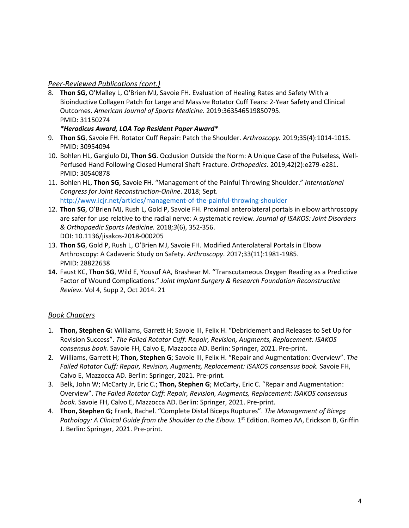# *Peer-Reviewed Publications (cont.)*

8. **Thon SG,** O'Malley L, O'Brien MJ, Savoie FH. Evaluation of Healing Rates and Safety With a Bioinductive Collagen Patch for Large and Massive Rotator Cuff Tears: 2-Year Safety and Clinical Outcomes. *American Journal of Sports Medicine*. 2019:363546519850795. PMID: 31150274

#### *\*Herodicus Award, LOA Top Resident Paper Award\**

- 9. **Thon SG**, Savoie FH. Rotator Cuff Repair: Patch the Shoulder. *Arthroscopy.* 2019;35(4):1014-1015. PMID: 30954094
- 10. Bohlen HL, Gargiulo DJ, **Thon SG**. Occlusion Outside the Norm: A Unique Case of the Pulseless, Well-Perfused Hand Following Closed Humeral Shaft Fracture. *Orthopedics*. 2019;42(2):e279-e281. PMID: 30540878
- 11. Bohlen HL, **Thon SG**, Savoie FH. "Management of the Painful Throwing Shoulder." *International Congress for Joint Reconstruction-Online*. 2018; Sept. http://www.icjr.net/articles/management-of-the-painful-throwing-shoulder
- 12. **Thon SG**, O'Brien MJ, Rush L, Gold P, Savoie FH. Proximal anterolateral portals in elbow arthroscopy are safer for use relative to the radial nerve: A systematic review. *Journal of ISAKOS: Joint Disorders & Orthopaedic Sports Medicine.* 2018*;3*(6), 352-356. DOI: 10.1136/jisakos-2018-000205
- 13. **Thon SG**, Gold P, Rush L, O'Brien MJ, Savoie FH. Modified Anterolateral Portals in Elbow Arthroscopy: A Cadaveric Study on Safety. *Arthroscopy*. 2017;33(11):1981-1985. PMID: 28822638
- **14.** Faust KC, **Thon SG**, Wild E, Yousuf AA, Brashear M. "Transcutaneous Oxygen Reading as a Predictive Factor of Wound Complications." *Joint Implant Surgery & Research Foundation Reconstructive Review.* Vol 4, Supp 2, Oct 2014. 21

# *Book Chapters*

- 1. **Thon, Stephen G:** Williams, Garrett H; Savoie III, Felix H. "Debridement and Releases to Set Up for Revision Success". *The Failed Rotator Cuff: Repair, Revision, Augments, Replacement: ISAKOS consensus book.* Savoie FH, Calvo E, Mazzocca AD. Berlin: Springer, 2021. Pre-print.
- 2. Williams, Garrett H; **Thon, Stephen G**; Savoie III, Felix H. "Repair and Augmentation: Overview". *The Failed Rotator Cuff: Repair, Revision, Augments, Replacement: ISAKOS consensus book.* Savoie FH, Calvo E, Mazzocca AD. Berlin: Springer, 2021. Pre-print.
- 3. Belk, John W; McCarty Jr, Eric C.; **Thon, Stephen G**; McCarty, Eric C. "Repair and Augmentation: Overview". *The Failed Rotator Cuff: Repair, Revision, Augments, Replacement: ISAKOS consensus book.* Savoie FH, Calvo E, Mazzocca AD. Berlin: Springer, 2021. Pre-print.
- 4. **Thon, Stephen G;** Frank, Rachel. "Complete Distal Biceps Ruptures". *The Management of Biceps* Pathology: A Clinical Guide from the Shoulder to the Elbow. 1<sup>st</sup> Edition. Romeo AA, Erickson B, Griffin J. Berlin: Springer, 2021. Pre-print.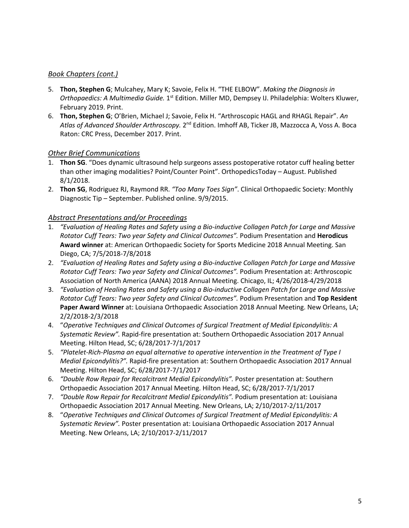# *Book Chapters (cont.)*

- 5. **Thon, Stephen G**; Mulcahey, Mary K; Savoie, Felix H. "THE ELBOW". *Making the Diagnosis in Orthopaedics: A Multimedia Guide.* 1st Edition. Miller MD, Dempsey IJ. Philadelphia: Wolters Kluwer, February 2019. Print.
- 6. **Thon, Stephen G**; O'Brien, Michael J; Savoie, Felix H. "Arthroscopic HAGL and RHAGL Repair". *An Atlas of Advanced Shoulder Arthroscopy.* 2nd Edition. Imhoff AB, Ticker JB, Mazzocca A, Voss A. Boca Raton: CRC Press, December 2017. Print.

# *Other Brief Communications*

- 1. **Thon SG**. "Does dynamic ultrasound help surgeons assess postoperative rotator cuff healing better than other imaging modalities? Point/Counter Point". OrthopedicsToday – August. Published 8/1/2018.
- 2. **Thon SG**, Rodriguez RJ, Raymond RR. *"Too Many Toes Sign"*. Clinical Orthopaedic Society: Monthly Diagnostic Tip – September. Published online. 9/9/2015.

# *Abstract Presentations and/or Proceedings*

- 1. *"Evaluation of Healing Rates and Safety using a Bio-inductive Collagen Patch for Large and Massive Rotator Cuff Tears: Two year Safety and Clinical Outcomes".* Podium Presentation and **Herodicus Award winner** at: American Orthopaedic Society for Sports Medicine 2018 Annual Meeting. San Diego, CA; 7/5/2018-7/8/2018
- 2. *"Evaluation of Healing Rates and Safety using a Bio-inductive Collagen Patch for Large and Massive Rotator Cuff Tears: Two year Safety and Clinical Outcomes".* Podium Presentation at: Arthroscopic Association of North America (AANA) 2018 Annual Meeting. Chicago, IL; 4/26/2018-4/29/2018
- 3. *"Evaluation of Healing Rates and Safety using a Bio-inductive Collagen Patch for Large and Massive Rotator Cuff Tears: Two year Safety and Clinical Outcomes".* Podium Presentation and **Top Resident Paper Award Winner** at: Louisiana Orthopaedic Association 2018 Annual Meeting. New Orleans, LA; 2/2/2018-2/3/2018
- 4. "*Operative Techniques and Clinical Outcomes of Surgical Treatment of Medial Epicondylitis: A Systematic Review".* Rapid-fire presentation at: Southern Orthopaedic Association 2017 Annual Meeting. Hilton Head, SC; 6/28/2017-7/1/2017
- 5. *"Platelet-Rich-Plasma an equal alternative to operative intervention in the Treatment of Type I Medial Epicondylitis?".* Rapid-fire presentation at: Southern Orthopaedic Association 2017 Annual Meeting. Hilton Head, SC; 6/28/2017-7/1/2017
- 6. *"Double Row Repair for Recalcitrant Medial Epicondylitis".* Poster presentation at: Southern Orthopaedic Association 2017 Annual Meeting. Hilton Head, SC; 6/28/2017-7/1/2017
- 7. *"Double Row Repair for Recalcitrant Medial Epicondylitis".* Podium presentation at: Louisiana Orthopaedic Association 2017 Annual Meeting. New Orleans, LA; 2/10/2017-2/11/2017
- 8. "*Operative Techniques and Clinical Outcomes of Surgical Treatment of Medial Epicondylitis: A Systematic Review".* Poster presentation at: Louisiana Orthopaedic Association 2017 Annual Meeting. New Orleans, LA; 2/10/2017-2/11/2017